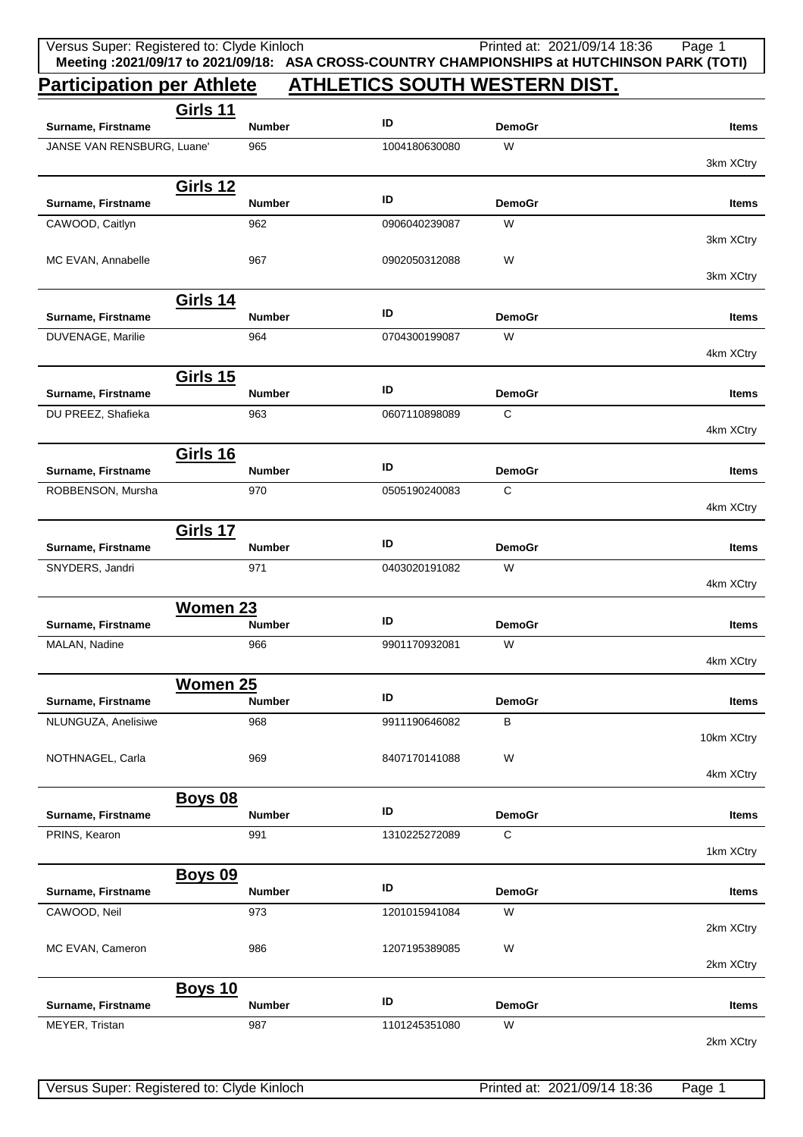## **Participation per Athlete ATHLETICS SOUTH WESTERN DIST.**

|                                      | <b>Girls 11</b> |                      |               |                    |              |
|--------------------------------------|-----------------|----------------------|---------------|--------------------|--------------|
| Surname, Firstname                   |                 | <b>Number</b>        | ID            | <b>DemoGr</b>      | <b>Items</b> |
| JANSE VAN RENSBURG, Luane'           |                 | 965                  | 1004180630080 | W                  | 3km XCtry    |
|                                      | <b>Girls 12</b> |                      |               |                    |              |
| Surname, Firstname                   |                 | <b>Number</b>        | ID            | <b>DemoGr</b>      | Items        |
| CAWOOD, Caitlyn                      |                 | 962                  | 0906040239087 | W                  |              |
|                                      |                 |                      |               |                    | 3km XCtry    |
| MC EVAN, Annabelle                   |                 | 967                  | 0902050312088 | W                  | 3km XCtry    |
|                                      | <b>Girls 14</b> |                      |               |                    |              |
| Surname, Firstname                   |                 | <b>Number</b>        | ID            | <b>DemoGr</b>      | <b>Items</b> |
| DUVENAGE, Marilie                    |                 | 964                  | 0704300199087 | W                  |              |
|                                      |                 |                      |               |                    | 4km XCtry    |
|                                      | <b>Girls 15</b> |                      | ID            |                    |              |
| Surname, Firstname                   |                 | <b>Number</b>        |               | <b>DemoGr</b>      | <b>Items</b> |
| DU PREEZ, Shafieka                   |                 | 963                  | 0607110898089 | $\mathsf{C}$       | 4km XCtry    |
|                                      | <b>Girls 16</b> |                      |               |                    |              |
| Surname, Firstname                   |                 | <b>Number</b>        | ID            | <b>DemoGr</b>      | <b>Items</b> |
| ROBBENSON, Mursha                    |                 | 970                  | 0505190240083 | $\mathsf{C}$       |              |
|                                      |                 |                      |               |                    | 4km XCtry    |
|                                      | Girls 17        |                      |               |                    |              |
| Surname, Firstname                   |                 | <b>Number</b>        | ID            | <b>DemoGr</b>      | <b>Items</b> |
| SNYDERS, Jandri                      |                 | 971                  | 0403020191082 | W                  | 4km XCtry    |
|                                      | Women 23        |                      |               |                    |              |
| Surname, Firstname                   |                 | <b>Number</b>        | ID            | <b>DemoGr</b>      | Items        |
| MALAN, Nadine                        |                 | 966                  | 9901170932081 | W                  |              |
|                                      |                 |                      |               |                    | 4km XCtry    |
|                                      | <b>Women 25</b> |                      |               |                    |              |
| Surname, Firstname                   |                 | Number               | ID            | <b>DemoGr</b>      | <b>Items</b> |
| NLUNGUZA, Anelisiwe                  |                 | 968                  | 9911190646082 | B                  | 10km XCtry   |
| NOTHNAGEL, Carla                     |                 | 969                  | 8407170141088 | W                  |              |
|                                      |                 |                      |               |                    | 4km XCtry    |
|                                      | <b>Boys 08</b>  |                      |               |                    |              |
| Surname, Firstname                   |                 | <b>Number</b>        | ID            | <b>DemoGr</b>      | <b>Items</b> |
| PRINS, Kearon                        |                 | 991                  | 1310225272089 | $\mathsf C$        |              |
|                                      |                 |                      |               |                    | 1km XCtry    |
| Surname, Firstname                   | <b>Boys 09</b>  | <b>Number</b>        | ID            | <b>DemoGr</b>      | <b>Items</b> |
| CAWOOD, Neil                         |                 | 973                  | 1201015941084 | W                  |              |
|                                      |                 |                      |               |                    | 2km XCtry    |
| MC EVAN, Cameron                     |                 | 986                  | 1207195389085 | W                  |              |
|                                      |                 |                      |               |                    | 2km XCtry    |
|                                      | <b>Boys 10</b>  |                      | ID            |                    |              |
| Surname, Firstname<br>MEYER, Tristan |                 | <b>Number</b><br>987 | 1101245351080 | <b>DemoGr</b><br>W | <b>Items</b> |
|                                      |                 |                      |               |                    | 2km XCtry    |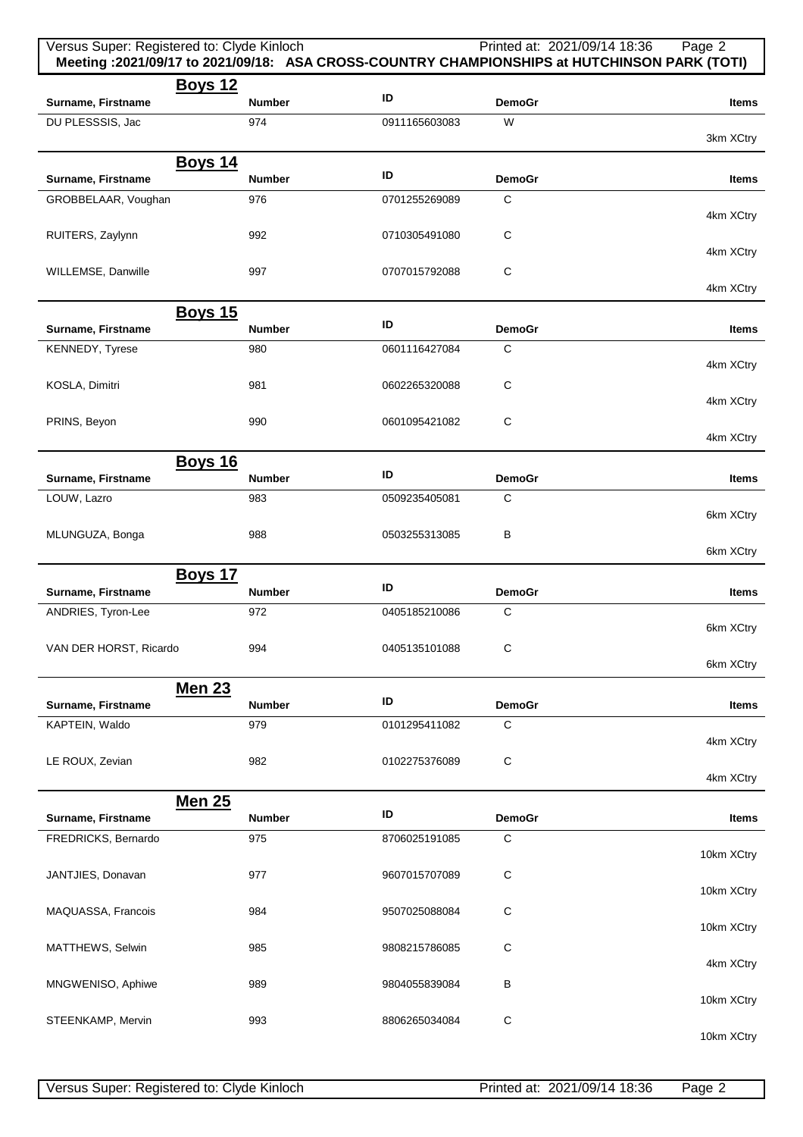| Versus Super: Registered to: Clyde Kinloch |                      |               | Printed at: 2021/09/14 18:36 | Page 2<br>Meeting : 2021/09/17 to 2021/09/18: ASA CROSS-COUNTRY CHAMPIONSHIPS at HUTCHINSON PARK (TOTI) |
|--------------------------------------------|----------------------|---------------|------------------------------|---------------------------------------------------------------------------------------------------------|
| <b>Boys 12</b><br>Surname, Firstname       | <b>Number</b>        | ID            | <b>DemoGr</b>                | <b>Items</b>                                                                                            |
| DU PLESSSIS, Jac                           | 974                  | 0911165603083 | W                            | 3km XCtry                                                                                               |
| <u>Boys 14</u><br>Surname, Firstname       | <b>Number</b>        | ID            | <b>DemoGr</b>                | <b>Items</b>                                                                                            |
| GROBBELAAR, Voughan                        | 976                  | 0701255269089 | $\mathsf{C}$                 | 4km XCtry                                                                                               |
| RUITERS, Zaylynn                           | 992                  | 0710305491080 | C                            | 4km XCtry                                                                                               |
| WILLEMSE, Danwille                         | 997                  | 0707015792088 | C                            | 4km XCtry                                                                                               |
| <u>Boys 15</u>                             |                      |               |                              |                                                                                                         |
| Surname, Firstname                         | <b>Number</b>        | ID            | <b>DemoGr</b>                | Items                                                                                                   |
| KENNEDY, Tyrese                            | 980                  | 0601116427084 | C                            | 4km XCtry                                                                                               |
| KOSLA, Dimitri                             | 981                  | 0602265320088 | C                            | 4km XCtry                                                                                               |
| PRINS, Beyon                               | 990                  | 0601095421082 | C                            | 4km XCtry                                                                                               |
| <b>Boys 16</b>                             | <b>Number</b>        | ID            | <b>DemoGr</b>                |                                                                                                         |
| Surname, Firstname<br>LOUW, Lazro          | 983                  | 0509235405081 | C                            | Items                                                                                                   |
| MLUNGUZA, Bonga                            | 988                  | 0503255313085 | В                            | 6km XCtry                                                                                               |
|                                            |                      |               |                              | 6km XCtry                                                                                               |
| <b>Boys 17</b><br>Surname, Firstname       | <b>Number</b>        | ID            | <b>DemoGr</b>                | Items                                                                                                   |
| ANDRIES, Tyron-Lee                         | 972                  | 0405185210086 | C                            |                                                                                                         |
| VAN DER HORST, Ricardo                     | 994                  | 0405135101088 | С                            | 6km XCtry                                                                                               |
| <b>Men 23</b>                              |                      |               |                              | 6km XCtry                                                                                               |
| Surname, Firstname                         | <b>Number</b>        | ID            | <b>DemoGr</b>                | Items                                                                                                   |
| KAPTEIN, Waldo                             | 979                  | 0101295411082 | C                            | 4km XCtry                                                                                               |
| LE ROUX, Zevian                            | 982                  | 0102275376089 | C                            | 4km XCtry                                                                                               |
| <b>Men 25</b>                              |                      | ID            |                              |                                                                                                         |
| Surname, Firstname<br>FREDRICKS, Bernardo  | <b>Number</b><br>975 | 8706025191085 | <b>DemoGr</b><br>$\mathsf C$ | Items                                                                                                   |
|                                            |                      |               |                              | 10km XCtry                                                                                              |
| JANTJIES, Donavan                          | 977                  | 9607015707089 | C                            | 10km XCtry                                                                                              |
| MAQUASSA, Francois                         | 984                  | 9507025088084 | C                            | 10km XCtry                                                                                              |
| MATTHEWS, Selwin                           | 985                  | 9808215786085 | C                            | 4km XCtry                                                                                               |
| MNGWENISO, Aphiwe                          | 989                  | 9804055839084 | В                            | 10km XCtry                                                                                              |
| STEENKAMP, Mervin                          | 993                  | 8806265034084 | C                            | 10km XCtry                                                                                              |